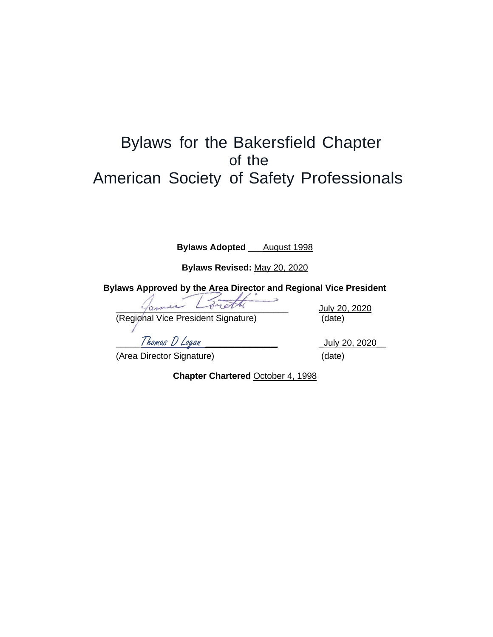# Bylaws for the Bakersfield Chapter of the American Society of Safety Professionals

**Bylaws Adopted** \_\_\_August 1998

**Bylaws Revised:** May 20, 2020

**Bylaws Approved by the Area Director and Regional Vice President**

 $y$  and  $y$  and  $y$  and  $y$  and  $y$  and  $y$  and  $y$  and  $y$  and  $y$  and  $y$  and  $y$  and  $y$  and  $y$  and  $y$  and  $y$  and  $y$  and  $y$  and  $y$  and  $y$  and  $y$  and  $y$  and  $y$  and  $y$  and  $y$  and  $y$  and  $y$  and  $y$  and  $y$  a (Regional Vice President Signature) (date)

\_\_\_\_\_Thomas D Logan \_\_\_\_\_\_\_\_\_\_ \_July 20, 2020\_\_

(Area Director Signature) (date)

**Chapter Chartered** October 4, 1998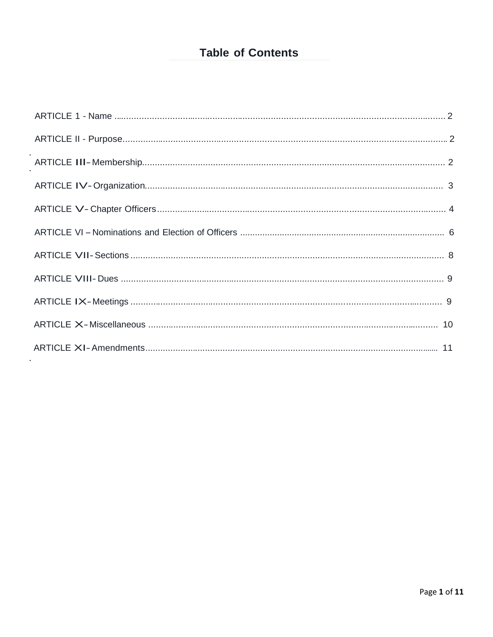## **Table of Contents**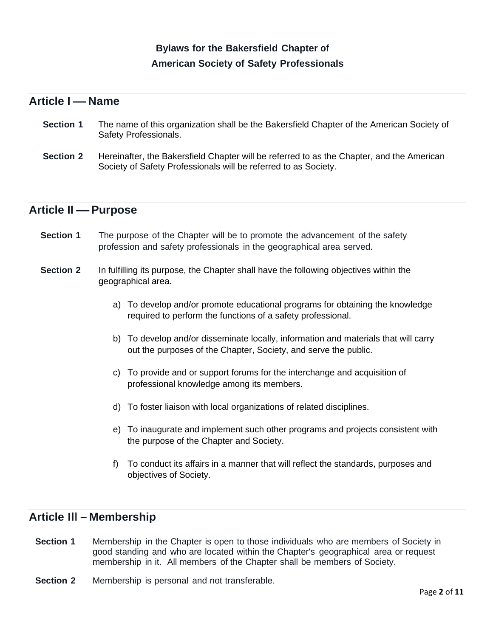## **Bylaws for the Bakersfield Chapter of American Society of Safety Professionals**

## **Article <sup>I</sup> –Name**

- **Section 1** The name of this organization shall be the Bakersfield Chapter of the American Society of Safety Professionals.
- **Section 2** Hereinafter, the Bakersfield Chapter will be referred to as the Chapter, and the American Society of Safety Professionals will be referred to as Society.

### **Article II –Purpose**

- **Section 1** The purpose of the Chapter will be to promote the advancement of the safety profession and safety professionals in the geographical area served.
- **Section 2** In fulfilling its purpose, the Chapter shall have the following objectives within the geographical area.
	- a) To develop and/or promote educational programs for obtaining the knowledge required to perform the functions of a safety professional.
	- b) To develop and/or disseminate locally, information and materials that will carry out the purposes of the Chapter, Society, and serve the public.
	- c) To provide and or support forums for the interchange and acquisition of professional knowledge among its members.
	- d) To foster liaison with local organizations of related disciplines.
	- e) To inaugurate and implement such other programs and projects consistent with the purpose of the Chapter and Society.
	- f) To conduct its affairs in a manner that will reflect the standards, purposes and objectives of Society.

## **Article** Ill-**Membership**

- **Section 1** Membership in the Chapter is open to those individuals who are members of Society in good standing and who are located within the Chapter's geographical area or request membership in it. All members of the Chapter shall be members of Society.
- **Section 2** Membership is personal and not transferable.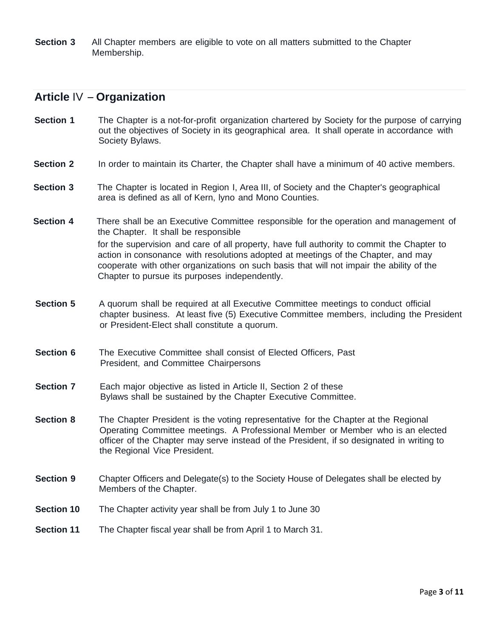**Section 3** All Chapter members are eligible to vote on all matters submitted to the Chapter Membership.

#### **Article** IV -**Organization**

- **Section 1 The Chapter is a not-for-profit organization chartered by Society for the purpose of carrying** out the objectives of Society in its geographical area. It shall operate in accordance with Society Bylaws.
- **Section 2** In order to maintain its Charter, the Chapter shall have a minimum of 40 active members.
- **Section 3** The Chapter is located in Region I, Area III, of Society and the Chapter's geographical area is defined as all of Kern, lyno and Mono Counties.
- **Section 4** There shall be an Executive Committee responsible for the operation and management of the Chapter. It shall be responsible for the supervision and care of all property, have full authority to commit the Chapter to action in consonance with resolutions adopted at meetings of the Chapter, and may cooperate with other organizations on such basis that will not impair the ability of the Chapter to pursue its purposes independently.
- **Section 5** A quorum shall be required at all Executive Committee meetings to conduct official chapter business. At least five (5) Executive Committee members, including the President or President-Elect shall constitute a quorum.
- **Section 6** The Executive Committee shall consist of Elected Officers, Past President, and Committee Chairpersons
- **Section 7** Each major objective as listed in Article II, Section 2 of these Bylaws shall be sustained by the Chapter Executive Committee.
- **Section 8** The Chapter President is the voting representative for the Chapter at the Regional Operating Committee meetings. A Professional Member or Member who is an elected officer of the Chapter may serve instead of the President, if so designated in writing to the Regional Vice President.
- **Section 9** Chapter Officers and Delegate(s) to the Society House of Delegates shall be elected by Members of the Chapter.
- **Section 10** The Chapter activity year shall be from July 1 to June 30
- **Section 11** The Chapter fiscal year shall be from April 1 to March 31.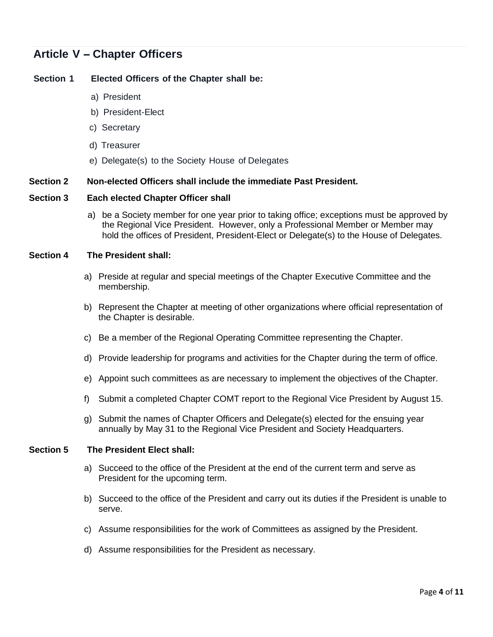## **Article <sup>V</sup> -Chapter Officers**

#### **Section 1 Elected Officers of the Chapter shall be:**

- a) President
- b) President-Elect
- c) Secretary
- d) Treasurer
- e) Delegate(s) to the Society House of Delegates

#### **Section 2 Non-elected Officers shall include the immediate Past President.**

#### **Section 3 Each elected Chapter Officer shall**

a) be a Society member for one year prior to taking office; exceptions must be approved by the Regional Vice President. However, only a Professional Member or Member may hold the offices of President, President-Elect or Delegate(s) to the House of Delegates.

#### **Section 4 The President shall:**

- a) Preside at regular and special meetings of the Chapter Executive Committee and the membership.
- b) Represent the Chapter at meeting of other organizations where official representation of the Chapter is desirable.
- c) Be a member of the Regional Operating Committee representing the Chapter.
- d) Provide leadership for programs and activities for the Chapter during the term of office.
- e) Appoint such committees as are necessary to implement the objectives of the Chapter.
- f) Submit a completed Chapter COMT report to the Regional Vice President by August 15.
- g) Submit the names of Chapter Officers and Delegate(s) elected for the ensuing year annually by May 31 to the Regional Vice President and Society Headquarters.

#### **Section 5 The President Elect shall:**

- a) Succeed to the office of the President at the end of the current term and serve as President for the upcoming term.
- b) Succeed to the office of the President and carry out its duties if the President is unable to serve.
- c) Assume responsibilities for the work of Committees as assigned by the President.
- d) Assume responsibilities for the President as necessary.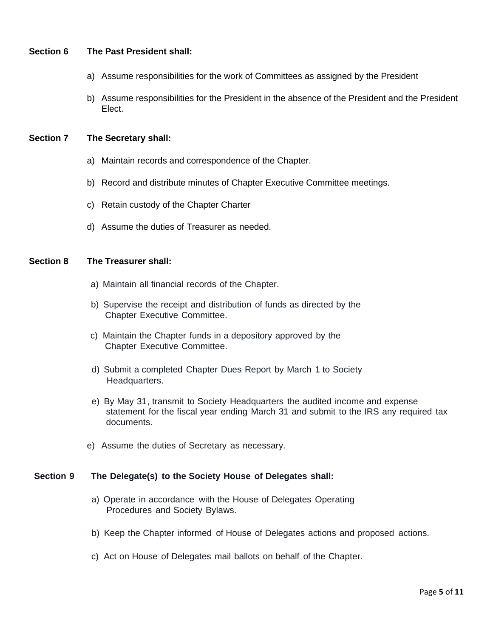#### **Section 6 The Past President shall:**

- a) Assume responsibilities for the work of Committees as assigned by the President
- b) Assume responsibilities for the President in the absence of the President and the President Elect.

#### **Section 7 The Secretary shall:**

- a) Maintain records and correspondence of the Chapter.
- b) Record and distribute minutes of Chapter Executive Committee meetings.
- c) Retain custody of the Chapter Charter
- d) Assume the duties of Treasurer as needed.

#### **Section 8 The Treasurer shall:**

- a) Maintain all financial records of the Chapter.
- b) Supervise the receipt and distribution of funds as directed by the Chapter Executive Committee.
- c) Maintain the Chapter funds in a depository approved by the Chapter Executive Committee.
- d) Submit a completed Chapter Dues Report by March 1 to Society Headquarters.
- e) By May 31, transmit to Society Headquarters the audited income and expense statement for the fiscal year ending March 31 and submit to the IRS any required tax documents.
- e) Assume the duties of Secretary as necessary.

#### **Section 9 The Delegate(s) to the Society House of Delegates shall:**

- a) Operate in accordance with the House of Delegates Operating Procedures and Society Bylaws.
- b) Keep the Chapter informed of House of Delegates actions and proposed actions.
- c) Act on House of Delegates mail ballots on behalf of the Chapter.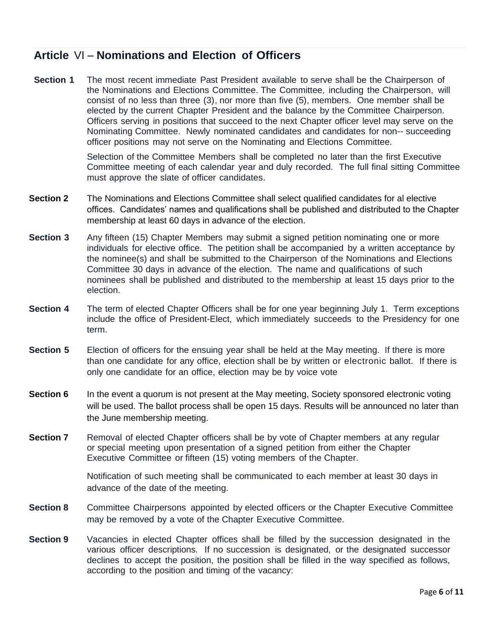## **Article** VI-**Nominations and Election of Officers**

**Section 1** The most recent immediate Past President available to serve shall be the Chairperson of the Nominations and Elections Committee. The Committee, including the Chairperson, will consist of no less than three (3), nor more than five (5), members. One member shall be elected by the current Chapter President and the balance by the Committee Chairperson. Officers serving in positions that succeed to the next Chapter officer level may serve on the Nominating Committee. Newly nominated candidates and candidates for non-- succeeding officer positions may not serve on the Nominating and Elections Committee.

> Selection of the Committee Members shall be completed no later than the first Executive Committee meeting of each calendar year and duly recorded. The full final sitting Committee must approve the slate of officer candidates.

- **Section 2** The Nominations and Elections Committee shall select qualified candidates for al elective offices. Candidates' names and qualifications shall be published and distributed to the Chapter membership at least 60 days in advance of the election.
- **Section 3** Any fifteen (15) Chapter Members may submit a signed petition nominating one or more individuals for elective office. The petition shall be accompanied by a written acceptance by the nominee(s) and shall be submitted to the Chairperson of the Nominations and Elections Committee 30 days in advance of the election. The name and qualifications of such nominees shall be published and distributed to the membership at least 15 days prior to the election.
- **Section 4** The term of elected Chapter Officers shall be for one year beginning July 1. Term exceptions include the office of President-Elect, which immediately succeeds to the Presidency for one term.
- **Section 5** Election of officers for the ensuing year shall be held at the May meeting. If there is more than one candidate for any office, election shall be by written or electronic ballot. If there is only one candidate for an office, election may be by voice vote
- **Section 6** In the event a quorum is not present at the May meeting, Society sponsored electronic voting will be used. The ballot process shall be open 15 days. Results will be announced no later than the June membership meeting.
- **Section 7** Removal of elected Chapter officers shall be by vote of Chapter members at any regular or special meeting upon presentation of a signed petition from either the Chapter Executive Committee or fifteen (15) voting members of the Chapter.

Notification of such meeting shall be communicated to each member at least 30 days in advance of the date of the meeting.

- **Section 8** Committee Chairpersons appointed by elected officers or the Chapter Executive Committee may be removed by a vote of the Chapter Executive Committee.
- **Section 9** Vacancies in elected Chapter offices shall be filled by the succession designated in the various officer descriptions. If no succession is designated, or the designated successor declines to accept the position, the position shall be filled in the way specified as follows, according to the position and timing of the vacancy: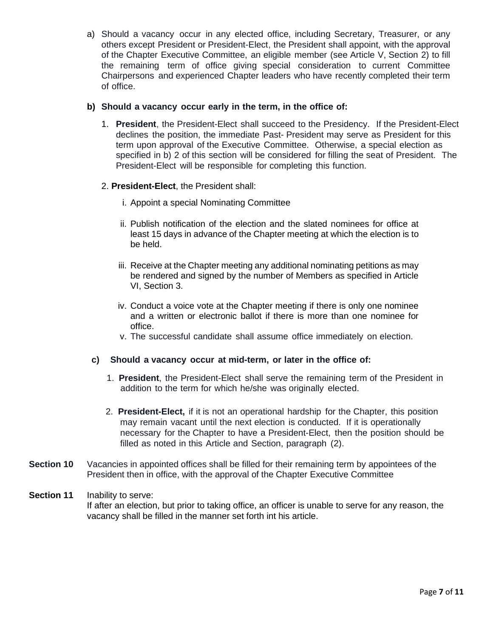a) Should a vacancy occur in any elected office, including Secretary, Treasurer, or any others except President or President-Elect, the President shall appoint, with the approval of the Chapter Executive Committee, an eligible member (see Article V, Section 2) to fill the remaining term of office giving special consideration to current Committee Chairpersons and experienced Chapter leaders who have recently completed their term of office.

#### **b) Should a vacancy occur early in the term, in the office of:**

1. **President**, the President-Elect shall succeed to the Presidency. If the President-Elect declines the position, the immediate Past- President may serve as President for this term upon approval of the Executive Committee. Otherwise, a special election as specified in b) 2 of this section will be considered for filling the seat of President. The President-Elect will be responsible for completing this function.

#### 2. **President-Elect**, the President shall:

- i. Appoint a special Nominating Committee
- ii. Publish notification of the election and the slated nominees for office at least 15 days in advance of the Chapter meeting at which the election is to be held.
- iii. Receive at the Chapter meeting any additional nominating petitions as may be rendered and signed by the number of Members as specified in Article VI, Section 3.
- iv. Conduct a voice vote at the Chapter meeting if there is only one nominee and a written or electronic ballot if there is more than one nominee for office.
- v. The successful candidate shall assume office immediately on election.

#### **c) Should a vacancy occur at mid-term, or later in the office of:**

- 1. **President**, the President-Elect shall serve the remaining term of the President in addition to the term for which he/she was originally elected.
- 2. **President-Elect,** if it is not an operational hardship for the Chapter, this position may remain vacant until the next election is conducted. If it is operationally necessary for the Chapter to have a President-Elect, then the position should be filled as noted in this Article and Section, paragraph (2).
- **Section 10** Vacancies in appointed offices shall be filled for their remaining term by appointees of the President then in office, with the approval of the Chapter Executive Committee

#### **Section 11** Inability to serve: If after an election, but prior to taking office, an officer is unable to serve for any reason, the vacancy shall be filled in the manner set forth int his article.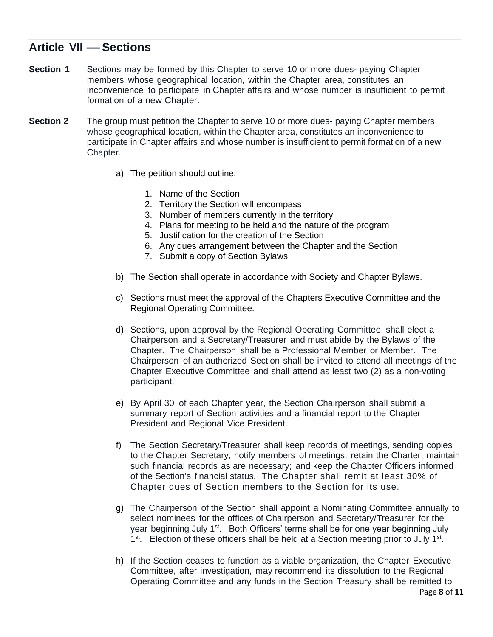## **Article VII –Sections**

- **Section 1** Sections may be formed by this Chapter to serve 10 or more dues- paying Chapter members whose geographical location, within the Chapter area, constitutes an inconvenience to participate in Chapter affairs and whose number is insufficient to permit formation of a new Chapter.
- **Section 2** The group must petition the Chapter to serve 10 or more dues- paying Chapter members whose geographical location, within the Chapter area, constitutes an inconvenience to participate in Chapter affairs and whose number is insufficient to permit formation of a new Chapter.
	- a) The petition should outline:
		- 1. Name of the Section
		- 2. Territory the Section will encompass
		- 3. Number of members currently in the territory
		- 4. Plans for meeting to be held and the nature of the program
		- 5. Justification for the creation of the Section
		- 6. Any dues arrangement between the Chapter and the Section
		- 7. Submit a copy of Section Bylaws
	- b) The Section shall operate in accordance with Society and Chapter Bylaws.
	- c) Sections must meet the approval of the Chapters Executive Committee and the Regional Operating Committee.
	- d) Sections, upon approval by the Regional Operating Committee, shall elect a Chairperson and a Secretary/Treasurer and must abide by the Bylaws of the Chapter. The Chairperson shall be a Professional Member or Member. The Chairperson of an authorized Section shall be invited to attend all meetings of the Chapter Executive Committee and shall attend as least two (2) as a non-voting participant.
	- e) By April 30 of each Chapter year, the Section Chairperson shall submit a summary report of Section activities and a financial report to the Chapter President and Regional Vice President.
	- f) The Section Secretary/Treasurer shall keep records of meetings, sending copies to the Chapter Secretary; notify members of meetings; retain the Charter; maintain such financial records as are necessary; and keep the Chapter Officers informed of the Section's financial status. The Chapter shall remit at least 30% of Chapter dues of Section members to the Section for its use.
	- g) The Chairperson of the Section shall appoint a Nominating Committee annually to select nominees for the offices of Chairperson and Secretary/Treasurer for the year beginning July 1<sup>st</sup>. Both Officers' terms shall be for one year beginning July 1<sup>st</sup>. Election of these officers shall be held at a Section meeting prior to July 1<sup>st</sup>.
	- Page **8** of **11** h) If the Section ceases to function as a viable organization, the Chapter Executive Committee, after investigation, may recommend its dissolution to the Regional Operating Committee and any funds in the Section Treasury shall be remitted to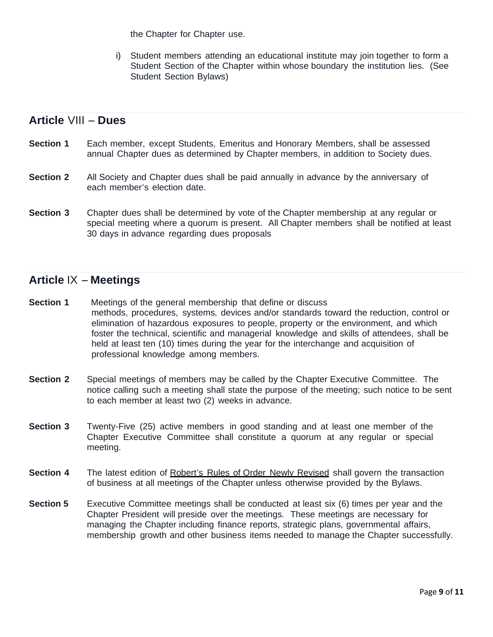the Chapter for Chapter use.

i) Student members attending an educational institute may join together to form a Student Section of the Chapter within whose boundary the institution lies. (See Student Section Bylaws)

## **Article** VIII-**Dues**

- **Section 1** Each member, except Students, Emeritus and Honorary Members, shall be assessed annual Chapter dues as determined by Chapter members, in addition to Society dues.
- **Section 2** All Society and Chapter dues shall be paid annually in advance by the anniversary of each member's election date.
- **Section 3** Chapter dues shall be determined by vote of the Chapter membership at any regular or special meeting where a quorum is present. All Chapter members shall be notified at least 30 days in advance regarding dues proposals

## **Article** IX -**Meetings**

- **Section 1** Meetings of the general membership that define or discuss methods, procedures, systems, devices and/or standards toward the reduction, control or elimination of hazardous exposures to people, property or the environment, and which foster the technical, scientific and managerial knowledge and skills of attendees, shall be held at least ten (10) times during the year for the interchange and acquisition of professional knowledge among members.
- **Section 2** Special meetings of members may be called by the Chapter Executive Committee. The notice calling such a meeting shall state the purpose of the meeting; such notice to be sent to each member at least two (2) weeks in advance.
- **Section 3** Twenty-Five (25) active members in good standing and at least one member of the Chapter Executive Committee shall constitute a quorum at any regular or special meeting.
- **Section 4** The latest edition of Robert's Rules of Order Newly Revised shall govern the transaction of business at all meetings of the Chapter unless otherwise provided by the Bylaws.
- **Section 5** Executive Committee meetings shall be conducted at least six (6) times per year and the Chapter President will preside over the meetings. These meetings are necessary for managing the Chapter including finance reports, strategic plans, governmental affairs, membership growth and other business items needed to manage the Chapter successfully.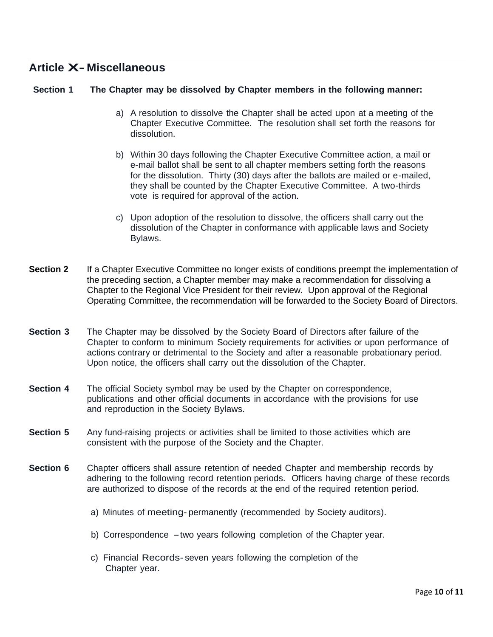## **Article X- Miscellaneous**

#### **Section 1 The Chapter may be dissolved by Chapter members in the following manner:**

- a) A resolution to dissolve the Chapter shall be acted upon at a meeting of the Chapter Executive Committee. The resolution shall set forth the reasons for dissolution.
- b) Within 30 days following the Chapter Executive Committee action, a mail or e-mail ballot shall be sent to all chapter members setting forth the reasons for the dissolution. Thirty (30) days after the ballots are mailed or e-mailed, they shall be counted by the Chapter Executive Committee. A two-thirds vote is required for approval of the action.
- c) Upon adoption of the resolution to dissolve, the officers shall carry out the dissolution of the Chapter in conformance with applicable laws and Society Bylaws.
- **Section 2** If a Chapter Executive Committee no longer exists of conditions preempt the implementation of the preceding section, a Chapter member may make a recommendation for dissolving a Chapter to the Regional Vice President for their review. Upon approval of the Regional Operating Committee, the recommendation will be forwarded to the Society Board of Directors.
- **Section 3** The Chapter may be dissolved by the Society Board of Directors after failure of the Chapter to conform to minimum Society requirements for activities or upon performance of actions contrary or detrimental to the Society and after a reasonable probationary period. Upon notice, the officers shall carry out the dissolution of the Chapter.
- **Section 4** The official Society symbol may be used by the Chapter on correspondence, publications and other official documents in accordance with the provisions for use and reproduction in the Society Bylaws.
- **Section 5** Any fund-raising projects or activities shall be limited to those activities which are consistent with the purpose of the Society and the Chapter.
- **Section 6** Chapter officers shall assure retention of needed Chapter and membership records by adhering to the following record retention periods. Officers having charge of these records are authorized to dispose of the records at the end of the required retention period.
	- a) Minutes of meeting- permanently (recommended by Society auditors).
	- b) Correspondence -two years following completion of the Chapter year.
	- c) Financial Records- seven years following the completion of the Chapter year.